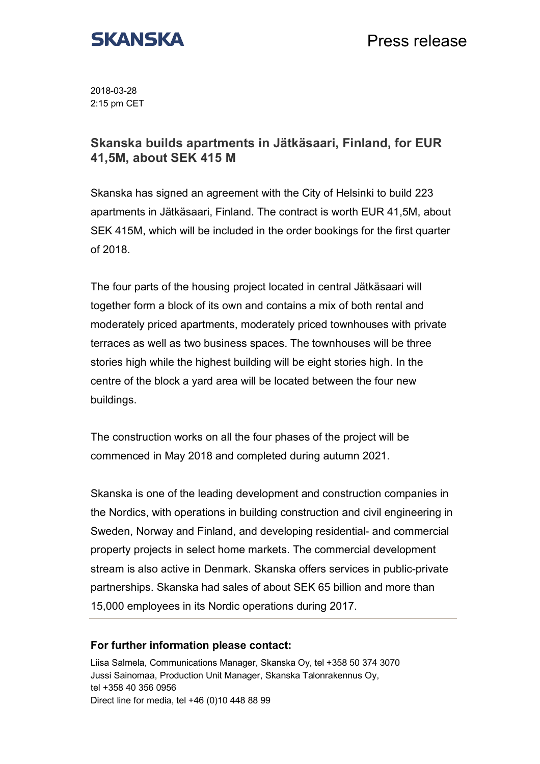

2018-03-28 2:15 pm CET

## **Skanska builds apartments in Jätkäsaari, Finland, for EUR 41,5M, about SEK 415 M**

Skanska has signed an agreement with the City of Helsinki to build 223 apartments in Jätkäsaari, Finland. The contract is worth EUR 41,5M, about SEK 415M, which will be included in the order bookings for the first quarter of 2018.

The four parts of the housing project located in central Jätkäsaari will together form a block of its own and contains a mix of both rental and moderately priced apartments, moderately priced townhouses with private terraces as well as two business spaces. The townhouses will be three stories high while the highest building will be eight stories high. In the centre of the block a yard area will be located between the four new buildings.

The construction works on all the four phases of the project will be commenced in May 2018 and completed during autumn 2021.

Skanska is one of the leading development and construction companies in the Nordics, with operations in building construction and civil engineering in Sweden, Norway and Finland, and developing residential- and commercial property projects in select home markets. The commercial development stream is also active in Denmark. Skanska offers services in public-private partnerships. Skanska had sales of about SEK 65 billion and more than 15,000 employees in its Nordic operations during 2017.

## **For further information please contact:**

Liisa Salmela, Communications Manager, Skanska Oy, tel +358 50 374 3070 Jussi Sainomaa, Production Unit Manager, Skanska Talonrakennus Oy, tel +358 40 356 0956 Direct line for media, tel +46 (0)10 448 88 99